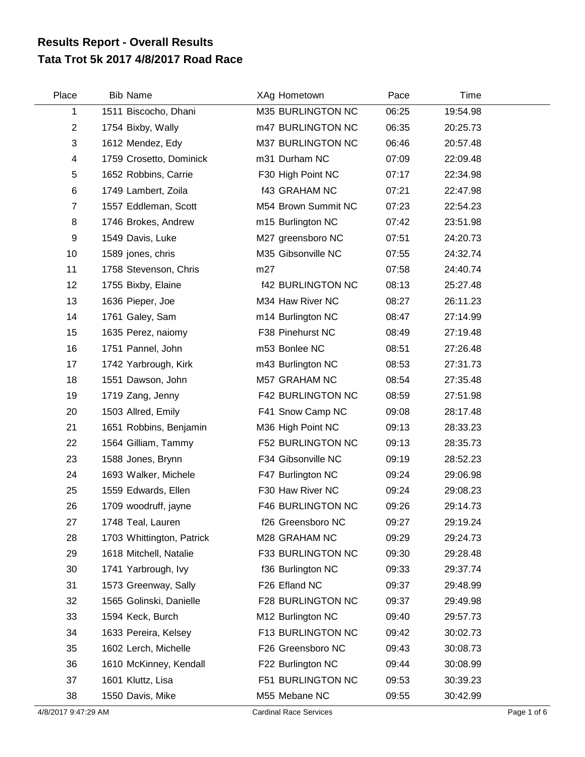## **Tata Trot 5k 2017 4/8/2017 Road Race Results Report - Overall Results**

| Place          | <b>Bib Name</b>           | XAg Hometown             | Pace  | Time     |  |
|----------------|---------------------------|--------------------------|-------|----------|--|
| 1              | 1511 Biscocho, Dhani      | M35 BURLINGTON NC        | 06:25 | 19:54.98 |  |
| $\overline{2}$ | 1754 Bixby, Wally         | m47 BURLINGTON NC        | 06:35 | 20:25.73 |  |
| $\sqrt{3}$     | 1612 Mendez, Edy          | M37 BURLINGTON NC        | 06:46 | 20:57.48 |  |
| 4              | 1759 Crosetto, Dominick   | m31 Durham NC            | 07:09 | 22:09.48 |  |
| 5              | 1652 Robbins, Carrie      | F30 High Point NC        | 07:17 | 22:34.98 |  |
| $\,6$          | 1749 Lambert, Zoila       | <b>f43 GRAHAM NC</b>     | 07:21 | 22:47.98 |  |
| $\overline{7}$ | 1557 Eddleman, Scott      | M54 Brown Summit NC      | 07:23 | 22:54.23 |  |
| 8              | 1746 Brokes, Andrew       | m15 Burlington NC        | 07:42 | 23:51.98 |  |
| 9              | 1549 Davis, Luke          | M27 greensboro NC        | 07:51 | 24:20.73 |  |
| 10             | 1589 jones, chris         | M35 Gibsonville NC       | 07:55 | 24:32.74 |  |
| 11             | 1758 Stevenson, Chris     | m27                      | 07:58 | 24:40.74 |  |
| 12             | 1755 Bixby, Elaine        | <b>f42 BURLINGTON NC</b> | 08:13 | 25:27.48 |  |
| 13             | 1636 Pieper, Joe          | M34 Haw River NC         | 08:27 | 26:11.23 |  |
| 14             | 1761 Galey, Sam           | m14 Burlington NC        | 08:47 | 27:14.99 |  |
| 15             | 1635 Perez, naiomy        | F38 Pinehurst NC         | 08:49 | 27:19.48 |  |
| 16             | 1751 Pannel, John         | m53 Bonlee NC            | 08:51 | 27:26.48 |  |
| 17             | 1742 Yarbrough, Kirk      | m43 Burlington NC        | 08:53 | 27:31.73 |  |
| 18             | 1551 Dawson, John         | M57 GRAHAM NC            | 08:54 | 27:35.48 |  |
| 19             | 1719 Zang, Jenny          | F42 BURLINGTON NC        | 08:59 | 27:51.98 |  |
| 20             | 1503 Allred, Emily        | F41 Snow Camp NC         | 09:08 | 28:17.48 |  |
| 21             | 1651 Robbins, Benjamin    | M36 High Point NC        | 09:13 | 28:33.23 |  |
| 22             | 1564 Gilliam, Tammy       | F52 BURLINGTON NC        | 09:13 | 28:35.73 |  |
| 23             | 1588 Jones, Brynn         | F34 Gibsonville NC       | 09:19 | 28:52.23 |  |
| 24             | 1693 Walker, Michele      | F47 Burlington NC        | 09:24 | 29:06.98 |  |
| 25             | 1559 Edwards, Ellen       | F30 Haw River NC         | 09:24 | 29:08.23 |  |
| 26             | 1709 woodruff, jayne      | F46 BURLINGTON NC        | 09:26 | 29:14.73 |  |
| 27             | 1748 Teal, Lauren         | f26 Greensboro NC        | 09:27 | 29:19.24 |  |
| 28             | 1703 Whittington, Patrick | M28 GRAHAM NC            | 09:29 | 29:24.73 |  |
| 29             | 1618 Mitchell, Natalie    | F33 BURLINGTON NC        | 09:30 | 29:28.48 |  |
| 30             | 1741 Yarbrough, Ivy       | f36 Burlington NC        | 09:33 | 29:37.74 |  |
| 31             | 1573 Greenway, Sally      | F26 Efland NC            | 09:37 | 29:48.99 |  |
| 32             | 1565 Golinski, Danielle   | F28 BURLINGTON NC        | 09:37 | 29:49.98 |  |
| 33             | 1594 Keck, Burch          | M12 Burlington NC        | 09:40 | 29:57.73 |  |
| 34             | 1633 Pereira, Kelsey      | F13 BURLINGTON NC        | 09:42 | 30:02.73 |  |
| 35             | 1602 Lerch, Michelle      | F26 Greensboro NC        | 09:43 | 30:08.73 |  |
| 36             | 1610 McKinney, Kendall    | F22 Burlington NC        | 09:44 | 30:08.99 |  |
| 37             | 1601 Kluttz, Lisa         | F51 BURLINGTON NC        | 09:53 | 30:39.23 |  |
| 38             | 1550 Davis, Mike          | M55 Mebane NC            | 09:55 | 30:42.99 |  |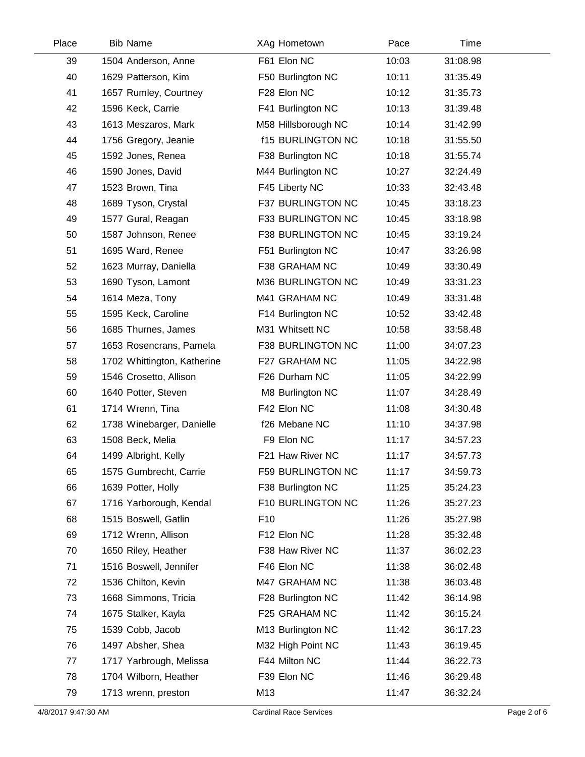| Place | <b>Bib Name</b>             | XAg Hometown             | Pace  | Time     |  |
|-------|-----------------------------|--------------------------|-------|----------|--|
| 39    | 1504 Anderson, Anne         | F61 Elon NC              | 10:03 | 31:08.98 |  |
| 40    | 1629 Patterson, Kim         | F50 Burlington NC        | 10:11 | 31:35.49 |  |
| 41    | 1657 Rumley, Courtney       | F28 Elon NC              | 10:12 | 31:35.73 |  |
| 42    | 1596 Keck, Carrie           | F41 Burlington NC        | 10:13 | 31:39.48 |  |
| 43    | 1613 Meszaros, Mark         | M58 Hillsborough NC      | 10:14 | 31:42.99 |  |
| 44    | 1756 Gregory, Jeanie        | <b>f15 BURLINGTON NC</b> | 10:18 | 31:55.50 |  |
| 45    | 1592 Jones, Renea           | F38 Burlington NC        | 10:18 | 31:55.74 |  |
| 46    | 1590 Jones, David           | M44 Burlington NC        | 10:27 | 32:24.49 |  |
| 47    | 1523 Brown, Tina            | F45 Liberty NC           | 10:33 | 32:43.48 |  |
| 48    | 1689 Tyson, Crystal         | F37 BURLINGTON NC        | 10:45 | 33:18.23 |  |
| 49    | 1577 Gural, Reagan          | F33 BURLINGTON NC        | 10:45 | 33:18.98 |  |
| 50    | 1587 Johnson, Renee         | F38 BURLINGTON NC        | 10:45 | 33:19.24 |  |
| 51    | 1695 Ward, Renee            | F51 Burlington NC        | 10:47 | 33:26.98 |  |
| 52    | 1623 Murray, Daniella       | F38 GRAHAM NC            | 10:49 | 33:30.49 |  |
| 53    | 1690 Tyson, Lamont          | M36 BURLINGTON NC        | 10:49 | 33:31.23 |  |
| 54    | 1614 Meza, Tony             | M41 GRAHAM NC            | 10:49 | 33:31.48 |  |
| 55    | 1595 Keck, Caroline         | F14 Burlington NC        | 10:52 | 33:42.48 |  |
| 56    | 1685 Thurnes, James         | M31 Whitsett NC          | 10:58 | 33:58.48 |  |
| 57    | 1653 Rosencrans, Pamela     | F38 BURLINGTON NC        | 11:00 | 34:07.23 |  |
| 58    | 1702 Whittington, Katherine | F27 GRAHAM NC            | 11:05 | 34:22.98 |  |
| 59    | 1546 Crosetto, Allison      | F26 Durham NC            | 11:05 | 34:22.99 |  |
| 60    | 1640 Potter, Steven         | M8 Burlington NC         | 11:07 | 34:28.49 |  |
| 61    | 1714 Wrenn, Tina            | F42 Elon NC              | 11:08 | 34:30.48 |  |
| 62    | 1738 Winebarger, Danielle   | f26 Mebane NC            | 11:10 | 34:37.98 |  |
| 63    | 1508 Beck, Melia            | F9 Elon NC               | 11:17 | 34:57.23 |  |
| 64    | 1499 Albright, Kelly        | F21 Haw River NC         | 11:17 | 34:57.73 |  |
| 65    | 1575 Gumbrecht, Carrie      | F59 BURLINGTON NC        | 11:17 | 34:59.73 |  |
| 66    | 1639 Potter, Holly          | F38 Burlington NC        | 11:25 | 35:24.23 |  |
| 67    | 1716 Yarborough, Kendal     | F10 BURLINGTON NC        | 11:26 | 35:27.23 |  |
| 68    | 1515 Boswell, Gatlin        | F <sub>10</sub>          | 11:26 | 35:27.98 |  |
| 69    | 1712 Wrenn, Allison         | F12 Elon NC              | 11:28 | 35:32.48 |  |
| 70    | 1650 Riley, Heather         | F38 Haw River NC         | 11:37 | 36:02.23 |  |
| 71    | 1516 Boswell, Jennifer      | F46 Elon NC              | 11:38 | 36:02.48 |  |
| 72    | 1536 Chilton, Kevin         | M47 GRAHAM NC            | 11:38 | 36:03.48 |  |
| 73    | 1668 Simmons, Tricia        | F28 Burlington NC        | 11:42 | 36:14.98 |  |
| 74    | 1675 Stalker, Kayla         | F25 GRAHAM NC            | 11:42 | 36:15.24 |  |
| 75    | 1539 Cobb, Jacob            | M13 Burlington NC        | 11:42 | 36:17.23 |  |
| 76    | 1497 Absher, Shea           | M32 High Point NC        | 11:43 | 36:19.45 |  |
| 77    | 1717 Yarbrough, Melissa     | F44 Milton NC            | 11:44 | 36:22.73 |  |
| 78    | 1704 Wilborn, Heather       | F39 Elon NC              | 11:46 | 36:29.48 |  |
| 79    | 1713 wrenn, preston         | M13                      | 11:47 | 36:32.24 |  |
|       |                             |                          |       |          |  |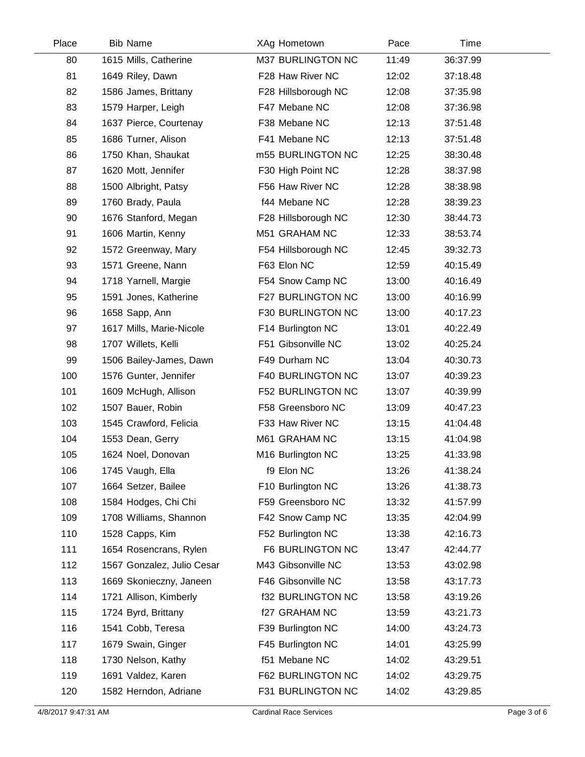| Place | <b>Bib Name</b>            | XAg Hometown             | Pace  | Time     |  |
|-------|----------------------------|--------------------------|-------|----------|--|
| 80    | 1615 Mills, Catherine      | M37 BURLINGTON NC        | 11:49 | 36:37.99 |  |
| 81    | 1649 Riley, Dawn           | F28 Haw River NC         | 12:02 | 37:18.48 |  |
| 82    | 1586 James, Brittany       | F28 Hillsborough NC      | 12:08 | 37:35.98 |  |
| 83    | 1579 Harper, Leigh         | F47 Mebane NC            | 12:08 | 37:36.98 |  |
| 84    | 1637 Pierce, Courtenay     | F38 Mebane NC            | 12:13 | 37:51.48 |  |
| 85    | 1686 Turner, Alison        | F41 Mebane NC            | 12:13 | 37:51.48 |  |
| 86    | 1750 Khan, Shaukat         | m55 BURLINGTON NC        | 12:25 | 38:30.48 |  |
| 87    | 1620 Mott, Jennifer        | F30 High Point NC        | 12:28 | 38:37.98 |  |
| 88    | 1500 Albright, Patsy       | F56 Haw River NC         | 12:28 | 38:38.98 |  |
| 89    | 1760 Brady, Paula          | f44 Mebane NC            | 12:28 | 38:39.23 |  |
| 90    | 1676 Stanford, Megan       | F28 Hillsborough NC      | 12:30 | 38:44.73 |  |
| 91    | 1606 Martin, Kenny         | M51 GRAHAM NC            | 12:33 | 38:53.74 |  |
| 92    | 1572 Greenway, Mary        | F54 Hillsborough NC      | 12:45 | 39:32.73 |  |
| 93    | 1571 Greene, Nann          | F63 Elon NC              | 12:59 | 40:15.49 |  |
| 94    | 1718 Yarnell, Margie       | F54 Snow Camp NC         | 13:00 | 40:16.49 |  |
| 95    | 1591 Jones, Katherine      | F27 BURLINGTON NC        | 13:00 | 40:16.99 |  |
| 96    | 1658 Sapp, Ann             | F30 BURLINGTON NC        | 13:00 | 40:17.23 |  |
| 97    | 1617 Mills, Marie-Nicole   | F14 Burlington NC        | 13:01 | 40:22.49 |  |
| 98    | 1707 Willets, Kelli        | F51 Gibsonville NC       | 13:02 | 40:25.24 |  |
| 99    | 1506 Bailey-James, Dawn    | F49 Durham NC            | 13:04 | 40:30.73 |  |
| 100   | 1576 Gunter, Jennifer      | F40 BURLINGTON NC        | 13:07 | 40:39.23 |  |
| 101   | 1609 McHugh, Allison       | F52 BURLINGTON NC        | 13:07 | 40:39.99 |  |
| 102   | 1507 Bauer, Robin          | F58 Greensboro NC        | 13:09 | 40:47.23 |  |
| 103   | 1545 Crawford, Felicia     | F33 Haw River NC         | 13:15 | 41:04.48 |  |
| 104   | 1553 Dean, Gerry           | M61 GRAHAM NC            | 13:15 | 41:04.98 |  |
| 105   | 1624 Noel, Donovan         | M16 Burlington NC        | 13:25 | 41:33.98 |  |
| 106   | 1745 Vaugh, Ella           | f9 Elon NC               | 13:26 | 41:38.24 |  |
| 107   | 1664 Setzer, Bailee        | F10 Burlington NC        | 13:26 | 41:38.73 |  |
| 108   | 1584 Hodges, Chi Chi       | F59 Greensboro NC        | 13:32 | 41:57.99 |  |
| 109   | 1708 Williams, Shannon     | F42 Snow Camp NC         | 13:35 | 42:04.99 |  |
| 110   | 1528 Capps, Kim            | F52 Burlington NC        | 13:38 | 42:16.73 |  |
| 111   | 1654 Rosencrans, Rylen     | F6 BURLINGTON NC         | 13:47 | 42:44.77 |  |
| 112   | 1567 Gonzalez, Julio Cesar | M43 Gibsonville NC       | 13:53 | 43:02.98 |  |
| 113   | 1669 Skonieczny, Janeen    | F46 Gibsonville NC       | 13:58 | 43:17.73 |  |
| 114   | 1721 Allison, Kimberly     | <b>f32 BURLINGTON NC</b> | 13:58 | 43:19.26 |  |
| 115   | 1724 Byrd, Brittany        | f27 GRAHAM NC            | 13:59 | 43:21.73 |  |
| 116   | 1541 Cobb, Teresa          | F39 Burlington NC        | 14:00 | 43:24.73 |  |
| 117   | 1679 Swain, Ginger         | F45 Burlington NC        | 14:01 | 43:25.99 |  |
| 118   | 1730 Nelson, Kathy         | f51 Mebane NC            | 14:02 | 43:29.51 |  |
| 119   | 1691 Valdez, Karen         | F62 BURLINGTON NC        | 14:02 | 43:29.75 |  |
| 120   | 1582 Herndon, Adriane      | F31 BURLINGTON NC        | 14:02 | 43:29.85 |  |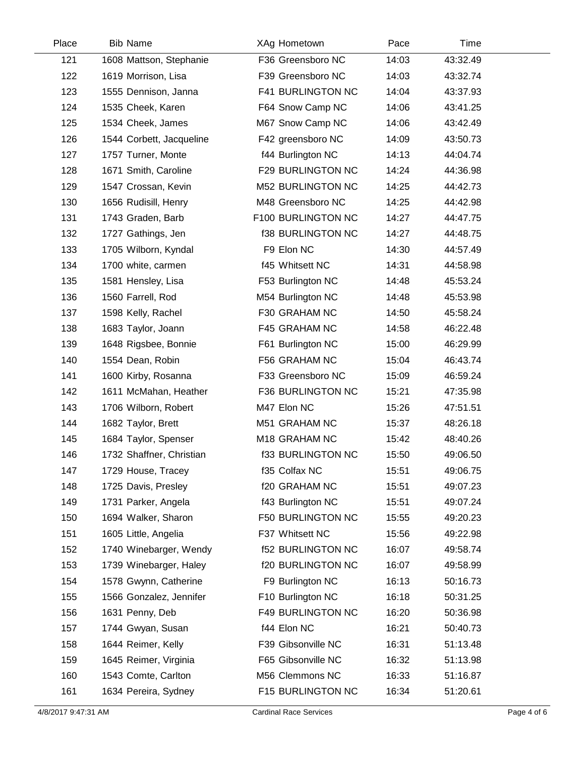| Place | <b>Bib Name</b>          | XAg Hometown             | Pace  | Time     |  |
|-------|--------------------------|--------------------------|-------|----------|--|
| 121   | 1608 Mattson, Stephanie  | F36 Greensboro NC        | 14:03 | 43:32.49 |  |
| 122   | 1619 Morrison, Lisa      | F39 Greensboro NC        | 14:03 | 43:32.74 |  |
| 123   | 1555 Dennison, Janna     | <b>F41 BURLINGTON NC</b> | 14:04 | 43:37.93 |  |
| 124   | 1535 Cheek, Karen        | F64 Snow Camp NC         | 14:06 | 43:41.25 |  |
| 125   | 1534 Cheek, James        | M67 Snow Camp NC         | 14:06 | 43:42.49 |  |
| 126   | 1544 Corbett, Jacqueline | F42 greensboro NC        | 14:09 | 43:50.73 |  |
| 127   | 1757 Turner, Monte       | f44 Burlington NC        | 14:13 | 44:04.74 |  |
| 128   | 1671 Smith, Caroline     | F29 BURLINGTON NC        | 14:24 | 44:36.98 |  |
| 129   | 1547 Crossan, Kevin      | M52 BURLINGTON NC        | 14:25 | 44:42.73 |  |
| 130   | 1656 Rudisill, Henry     | M48 Greensboro NC        | 14:25 | 44:42.98 |  |
| 131   | 1743 Graden, Barb        | F100 BURLINGTON NC       | 14:27 | 44:47.75 |  |
| 132   | 1727 Gathings, Jen       | <b>f38 BURLINGTON NC</b> | 14:27 | 44:48.75 |  |
| 133   | 1705 Wilborn, Kyndal     | F9 Elon NC               | 14:30 | 44:57.49 |  |
| 134   | 1700 white, carmen       | f45 Whitsett NC          | 14:31 | 44:58.98 |  |
| 135   | 1581 Hensley, Lisa       | F53 Burlington NC        | 14:48 | 45:53.24 |  |
| 136   | 1560 Farrell, Rod        | M54 Burlington NC        | 14:48 | 45:53.98 |  |
| 137   | 1598 Kelly, Rachel       | F30 GRAHAM NC            | 14:50 | 45:58.24 |  |
| 138   | 1683 Taylor, Joann       | F45 GRAHAM NC            | 14:58 | 46:22.48 |  |
| 139   | 1648 Rigsbee, Bonnie     | F61 Burlington NC        | 15:00 | 46:29.99 |  |
| 140   | 1554 Dean, Robin         | F56 GRAHAM NC            | 15:04 | 46:43.74 |  |
| 141   | 1600 Kirby, Rosanna      | F33 Greensboro NC        | 15:09 | 46:59.24 |  |
| 142   | 1611 McMahan, Heather    | F36 BURLINGTON NC        | 15:21 | 47:35.98 |  |
| 143   | 1706 Wilborn, Robert     | M47 Elon NC              | 15:26 | 47:51.51 |  |
| 144   | 1682 Taylor, Brett       | M51 GRAHAM NC            | 15:37 | 48:26.18 |  |
| 145   | 1684 Taylor, Spenser     | M18 GRAHAM NC            | 15:42 | 48:40.26 |  |
| 146   | 1732 Shaffner, Christian | <b>f33 BURLINGTON NC</b> | 15:50 | 49:06.50 |  |
| 147   | 1729 House, Tracey       | f35 Colfax NC            | 15:51 | 49:06.75 |  |
| 148   | 1725 Davis, Presley      | f20 GRAHAM NC            | 15:51 | 49:07.23 |  |
| 149   | 1731 Parker, Angela      | f43 Burlington NC        | 15:51 | 49:07.24 |  |
| 150   | 1694 Walker, Sharon      | F50 BURLINGTON NC        | 15:55 | 49:20.23 |  |
| 151   | 1605 Little, Angelia     | F37 Whitsett NC          | 15:56 | 49:22.98 |  |
| 152   | 1740 Winebarger, Wendy   | <b>f52 BURLINGTON NC</b> | 16:07 | 49:58.74 |  |
| 153   | 1739 Winebarger, Haley   | f20 BURLINGTON NC        | 16:07 | 49:58.99 |  |
| 154   | 1578 Gwynn, Catherine    | F9 Burlington NC         | 16:13 | 50:16.73 |  |
| 155   | 1566 Gonzalez, Jennifer  | F10 Burlington NC        | 16:18 | 50:31.25 |  |
| 156   | 1631 Penny, Deb          | <b>F49 BURLINGTON NC</b> | 16:20 | 50:36.98 |  |
| 157   | 1744 Gwyan, Susan        | f44 Elon NC              | 16:21 | 50:40.73 |  |
| 158   | 1644 Reimer, Kelly       | F39 Gibsonville NC       | 16:31 | 51:13.48 |  |
| 159   | 1645 Reimer, Virginia    | F65 Gibsonville NC       | 16:32 | 51:13.98 |  |
| 160   | 1543 Comte, Carlton      | M56 Clemmons NC          | 16:33 | 51:16.87 |  |
| 161   | 1634 Pereira, Sydney     | F15 BURLINGTON NC        | 16:34 | 51:20.61 |  |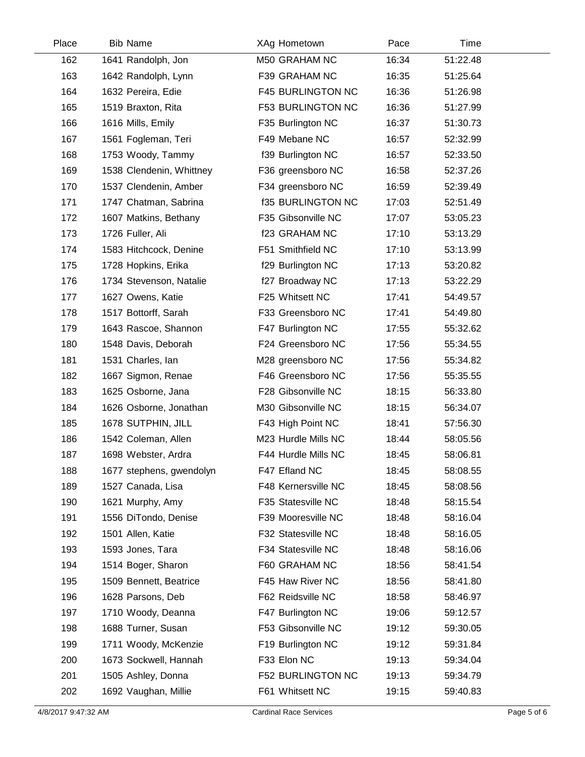| Place | <b>Bib Name</b>          | XAg Hometown             | Pace  | <b>Time</b> |  |
|-------|--------------------------|--------------------------|-------|-------------|--|
| 162   | 1641 Randolph, Jon       | M50 GRAHAM NC            | 16:34 | 51:22.48    |  |
| 163   | 1642 Randolph, Lynn      | F39 GRAHAM NC            | 16:35 | 51:25.64    |  |
| 164   | 1632 Pereira, Edie       | F45 BURLINGTON NC        | 16:36 | 51:26.98    |  |
| 165   | 1519 Braxton, Rita       | <b>F53 BURLINGTON NC</b> | 16:36 | 51:27.99    |  |
| 166   | 1616 Mills, Emily        | F35 Burlington NC        | 16:37 | 51:30.73    |  |
| 167   | 1561 Fogleman, Teri      | F49 Mebane NC            | 16:57 | 52:32.99    |  |
| 168   | 1753 Woody, Tammy        | f39 Burlington NC        | 16:57 | 52:33.50    |  |
| 169   | 1538 Clendenin, Whittney | F36 greensboro NC        | 16:58 | 52:37.26    |  |
| 170   | 1537 Clendenin, Amber    | F34 greensboro NC        | 16:59 | 52:39.49    |  |
| 171   | 1747 Chatman, Sabrina    | <b>f35 BURLINGTON NC</b> | 17:03 | 52:51.49    |  |
| 172   | 1607 Matkins, Bethany    | F35 Gibsonville NC       | 17:07 | 53:05.23    |  |
| 173   | 1726 Fuller, Ali         | f23 GRAHAM NC            | 17:10 | 53:13.29    |  |
| 174   | 1583 Hitchcock, Denine   | F51 Smithfield NC        | 17:10 | 53:13.99    |  |
| 175   | 1728 Hopkins, Erika      | f29 Burlington NC        | 17:13 | 53:20.82    |  |
| 176   | 1734 Stevenson, Natalie  | f27 Broadway NC          | 17:13 | 53:22.29    |  |
| 177   | 1627 Owens, Katie        | F25 Whitsett NC          | 17:41 | 54:49.57    |  |
| 178   | 1517 Bottorff, Sarah     | F33 Greensboro NC        | 17:41 | 54:49.80    |  |
| 179   | 1643 Rascoe, Shannon     | F47 Burlington NC        | 17:55 | 55:32.62    |  |
| 180   | 1548 Davis, Deborah      | F24 Greensboro NC        | 17:56 | 55:34.55    |  |
| 181   | 1531 Charles, Ian        | M28 greensboro NC        | 17:56 | 55:34.82    |  |
| 182   | 1667 Sigmon, Renae       | F46 Greensboro NC        | 17:56 | 55:35.55    |  |
| 183   | 1625 Osborne, Jana       | F28 Gibsonville NC       | 18:15 | 56:33.80    |  |
| 184   | 1626 Osborne, Jonathan   | M30 Gibsonville NC       | 18:15 | 56:34.07    |  |
| 185   | 1678 SUTPHIN, JILL       | F43 High Point NC        | 18:41 | 57:56.30    |  |
| 186   | 1542 Coleman, Allen      | M23 Hurdle Mills NC      | 18:44 | 58:05.56    |  |
| 187   | 1698 Webster, Ardra      | F44 Hurdle Mills NC      | 18:45 | 58:06.81    |  |
| 188   | 1677 stephens, gwendolyn | F47 Efland NC            | 18:45 | 58:08.55    |  |
| 189   | 1527 Canada, Lisa        | F48 Kernersville NC      | 18:45 | 58:08.56    |  |
| 190   | 1621 Murphy, Amy         | F35 Statesville NC       | 18:48 | 58:15.54    |  |
| 191   | 1556 DiTondo, Denise     | F39 Mooresville NC       | 18:48 | 58:16.04    |  |
| 192   | 1501 Allen, Katie        | F32 Statesville NC       | 18:48 | 58:16.05    |  |
| 193   | 1593 Jones, Tara         | F34 Statesville NC       | 18:48 | 58:16.06    |  |
| 194   | 1514 Boger, Sharon       | F60 GRAHAM NC            | 18:56 | 58:41.54    |  |
| 195   | 1509 Bennett, Beatrice   | F45 Haw River NC         | 18:56 | 58:41.80    |  |
| 196   | 1628 Parsons, Deb        | F62 Reidsville NC        | 18:58 | 58:46.97    |  |
| 197   | 1710 Woody, Deanna       | F47 Burlington NC        | 19:06 | 59:12.57    |  |
| 198   | 1688 Turner, Susan       | F53 Gibsonville NC       | 19:12 | 59:30.05    |  |
| 199   | 1711 Woody, McKenzie     | F19 Burlington NC        | 19:12 | 59:31.84    |  |
| 200   | 1673 Sockwell, Hannah    | F33 Elon NC              | 19:13 | 59:34.04    |  |
| 201   | 1505 Ashley, Donna       | F52 BURLINGTON NC        | 19:13 | 59:34.79    |  |
| 202   | 1692 Vaughan, Millie     | F61 Whitsett NC          | 19:15 | 59:40.83    |  |
|       |                          |                          |       |             |  |